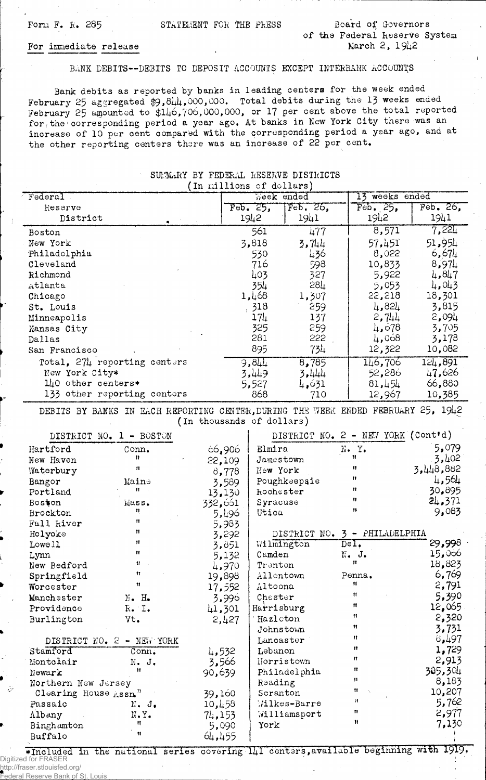نۍ

## BANK DEBITS— DEBITS TO DEPOSIT ACCOUNTS EXCEPT INTERBANK ACCOUNTS

Bank debits as reported by banks in leading centers for the week ended February 25 aggregated \$9,844,000,000. Total debits during the 13 weeks ended February 25 amounted to \$146,706,000,000, or 17 per cent above the total reported for the corresponding period a year ago. At banks in New York City there was an inorease of 10 per cent compared with the corresponding period a year ago, and at the other reporting centers there was an increase of 22 per cent.

|                                                                                                                |                              | (In millions of dollars) |             | The community non-miles hipselected |                                    |           |  |
|----------------------------------------------------------------------------------------------------------------|------------------------------|--------------------------|-------------|-------------------------------------|------------------------------------|-----------|--|
| Federal                                                                                                        |                              |                          | Week ended  |                                     | 13 weeks ended                     |           |  |
| Reserve                                                                                                        |                              |                          | $Feb$ , 25, | Feb. 26,                            | Feb. 25.                           | Feb. 26,  |  |
| District                                                                                                       |                              |                          | 1942        | 1941                                | 1942                               | 1941      |  |
| Boston                                                                                                         |                              |                          | 561         | 477                                 | 8,571                              | 7,221     |  |
| New York                                                                                                       |                              |                          | 3,818       | 3,744                               | 57,451                             | 51,954    |  |
| Philadelphia                                                                                                   |                              |                          | 530         | 436                                 | 8,022                              | 6,674     |  |
| Cleveland                                                                                                      |                              |                          | 716         | 598                                 | 10,833                             | 8,974     |  |
| Richmond                                                                                                       |                              |                          | 403         | 327                                 | 5,922                              | 4,847     |  |
| Atlanta                                                                                                        |                              |                          | 354         | 28 <sub>4</sub>                     | 5,053                              | 4,043     |  |
| Chicago                                                                                                        |                              |                          | 1,468       | 1,307                               | 22,218                             | 18,301    |  |
| St. Louis                                                                                                      |                              |                          | 318         | 259                                 | 4,824                              | 3,815     |  |
| Minneapolis                                                                                                    |                              |                          | $17\mu$     | 137                                 | 2,744                              | 2,094     |  |
| Kansas City                                                                                                    |                              |                          | 325         | 259                                 | 4,678                              | 3,705     |  |
| Dallas                                                                                                         |                              |                          | 281         | 222                                 | 4,068                              | 3,173     |  |
| San Francisco                                                                                                  |                              |                          | 895         | 734                                 | 12,322                             | 10,082    |  |
|                                                                                                                | Total, 274 reporting centers |                          | 9,844       | 8,785                               | 146,706                            | 124,891   |  |
| New York City*                                                                                                 |                              |                          | 3,449       | 3,444                               | 52,286                             | 47,626    |  |
| 140 other centers*                                                                                             |                              |                          | 5,527       | 4,631                               | 81,454                             | 66,880    |  |
|                                                                                                                | 133 other reporting centers  |                          | 868         | 710                                 | 12,967                             | 10,385    |  |
| DEBITS BY BANKS IN EACH REPORTING CENTER, DURING THE WEEK ENDED FEBRUARY 25, 1942<br>(In thousands of dollars) |                              |                          |             |                                     |                                    |           |  |
|                                                                                                                | DISTRICT NO. 1 - BOSTON      |                          |             |                                     | DISTRICT NO. 2 - NEW YORK (Cont'd) |           |  |
| Hartford                                                                                                       | Conn.                        | 66,906                   | Elmira      |                                     | N.Y.                               | 5,079     |  |
| New Haven                                                                                                      | 11                           | 22,109                   |             | Jamestown                           | Ħ                                  | 3,402     |  |
| Waterbury                                                                                                      | $\boldsymbol{\mathsf{H}}$    | 8,778                    | New York    |                                     | Ħ                                  | 3,448,882 |  |
| Bangor                                                                                                         | Maine                        | 3,589                    |             | Poughkeepsie                        | 11                                 | 4,564     |  |
| Portland                                                                                                       | 11                           | 13,130                   |             | Rochester                           | Ħ                                  | 30,895    |  |
| Boston                                                                                                         | Mass.                        | 332,661                  | Syracuse    |                                     | Ħ                                  | 24.371    |  |
| Brockton                                                                                                       | 11                           | 5,496                    | Utica       |                                     | 11                                 | 9,083     |  |
| Fall kiver                                                                                                     | n                            | 5,983                    |             |                                     |                                    |           |  |
| Holyoke                                                                                                        | Ħ                            | 3,292                    |             | DISTRICT NO.                        | 3 - PHILADELPHIA                   |           |  |
| Lowell                                                                                                         | 11                           | 3,851                    |             | Wilmington                          | $\overline{\texttt{Del}}$ .        | 29,998    |  |
| Lynn                                                                                                           | Ħ                            | 5,132                    | Camden      |                                     | N. J.                              | 15,066    |  |
| New Bedford                                                                                                    | 11                           | 4,970                    | Trenton     |                                     | 11                                 | 18,823    |  |
| Springfield                                                                                                    | 11                           | 19,898                   |             | Allentown                           | Penna.                             | 6,769     |  |
| Worcester                                                                                                      | 11                           | 17,552                   | Altoona     |                                     | 11                                 | 2,791     |  |
| Manchester                                                                                                     | $N - Ho$                     | 3,996                    | Chaster     |                                     | $^{\dagger}$                       | 5,390     |  |
| Providence                                                                                                     | R. I.                        | 41,301                   | Harrisburg  |                                     | Ħ                                  | 12,065    |  |
| Burlington                                                                                                     | Vt.                          | 2,427                    | Hazleton    |                                     | 11                                 | 2,320     |  |
|                                                                                                                |                              |                          |             | Johnstown                           | Ħ                                  | 3,731     |  |
|                                                                                                                | DISTRICT NO. 2 - NEW YORK    |                          |             | Lancaster                           | Ħ                                  | 497ء      |  |
| Stamford                                                                                                       | Conn.                        | 4,532                    | Lebanon     |                                     | 11                                 | 1,729     |  |
| Montolair                                                                                                      | N. J.                        | 3,566                    |             | Norristown                          | Ħ                                  | 2,913     |  |
| Newark                                                                                                         | Ħ                            | 90,639                   |             | Philadelphia                        | $\mathbf{H}$                       | 385,304   |  |
| Northern New Jersey                                                                                            |                              |                          | Reading     |                                     | $\mathbf{H}$                       | 8,183     |  |
| Clearing House Assn."                                                                                          |                              | 39,160                   | Scranton    |                                     | Ħ                                  | 10,207    |  |
| Passaic                                                                                                        | $N - J_+$                    | 10,458                   |             | Milkes-Barre                        | 11                                 | 5,762     |  |
| Albany                                                                                                         | N.Y.                         | 74,153                   |             | Williamsport                        | $^{\bullet}$                       | 2,977     |  |
| Binghamton                                                                                                     | 11                           | 5,090                    | York        |                                     | 11                                 | 7,130     |  |
| Buffalo                                                                                                        | Ħ                            | 64,455                   |             |                                     |                                    |           |  |

SUMMARY BY FEDERAL RESERVE DISTRICTS

\*Included in the national series covering 141 centers, available beginning with 1919. Digitized for FRASER http://fraser.stlouisfed.org/ Federal Reserve Bank of St. Louis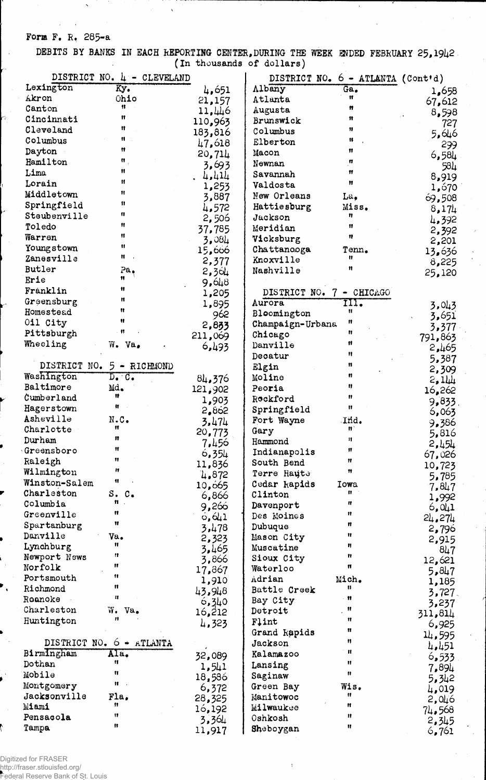## Form F. R. 285-a

 $\mathbb{R}^2$ 

DEBITS BY BANKS IN EACH REPORTING CENTER, DURING THE WEEK ENDED FEBRUARY 25, 1942 (In thousands of dollars)

| Lexington                  | DISTRICT NO. 4 - CLEVELAND<br>$\overline{xy}$ . |                  |                          | DISTRICT NO. 6 - ATLANTA (Cont'd) |                |
|----------------------------|-------------------------------------------------|------------------|--------------------------|-----------------------------------|----------------|
| Akron                      | Ohio                                            | 4,651            | Albany<br>Atlanta        | Ga.<br>Ħ                          | 1,658          |
| Canton                     | 11                                              | 21,157<br>11,446 | Augusta                  | Ħ                                 | 67,612         |
| Cincinnati                 | Ħ                                               | 110,963          | Brunswick                | $^{\bullet}$                      | 8,598          |
| Cleveland                  | n                                               | 183,816          | Columbus                 | 11                                | 727            |
| Columbus                   | 11                                              | 47,618           | Elberton                 | 11                                | 5,646          |
| Dayton                     | Ħ                                               | 20,714           | Macon                    | 11                                | 299            |
| Hamilton                   | Ħ.                                              | 3,693            | Newnan                   | n                                 | 6,584<br>584   |
| Lima                       | Ħ                                               | 4.414            | Savannah                 | Ħ                                 | 8,919          |
| Lorain                     | $\mathbf{H}$                                    | 1,253            | Valdosta                 | 11                                | 1,670          |
| Middletown                 | Ħ                                               | 3,887            | New Orleans              | La.                               | 69,508         |
| Springfield                | 11                                              | 4,572            | Hattiesburg              | Miss.                             | 8,174          |
| Steubenville               | 11                                              | 2,506            | Jackson                  | Ħ                                 | 4,392          |
| Toledo                     | 11                                              | 37,785           | Meridian                 | 11                                | 2,392          |
| Warren                     | $\pmb{\mathfrak{m}}$                            | 3,084            | Vicksburg                | 11                                | 2,201          |
| Youngstown                 | Ħ                                               | 15,666           | Chattanooga              | Tenn.                             | 13,636         |
| Zanesville                 | Ħ                                               | 2,377            | Knoxville                | Ħ                                 | 8,225          |
| Butler                     | Pa <sub>o</sub>                                 | 2,364            | Nashville                | Ħ                                 | 25,120         |
| Erie                       | Ħ                                               | 9,648            |                          |                                   |                |
| Franklin                   | Ħ                                               | 1,205            | DISTRICT NO. 7 - CHICAGO |                                   |                |
| Greensburg                 | Ħ                                               | 1,895            | Aurora                   | TIT.                              | 3,043          |
| Homestead                  | Ħ<br>Ħ                                          | 962              | Bloomington              | Ħ                                 | 3,651          |
| 011 City                   | n                                               | 2,833            | Champaign-Urbana         | Ħ                                 | 3,377          |
| Pittsburgh                 |                                                 | 211,069          | Chicago                  | n                                 | 791,863        |
| Wheeling                   | W. Va.                                          | 6,493            | Danville                 | 11                                | 2,465          |
|                            |                                                 |                  | Decatur                  | Ħ                                 | 5,387          |
|                            | DISTRICT NO. 5 - RICHMOND                       |                  | Elgin                    | 11                                | 2,309          |
| Washington                 | $D_{\bullet}$ $C_{\bullet}$                     | 84,376           | Moline                   | u                                 | 2,111          |
| Baltimore                  | Md.<br>n                                        | 121,902          | Peoria                   | ŋ<br>11                           | 16,262         |
| Cumberland                 | Ħ                                               | 1,903            | Rockford                 | 11                                | 9,833          |
| Hagerstown<br>Asheville    | N.C.                                            | 2,862            | Springfield              |                                   | 6,063          |
| Charlotte                  | Ħ                                               | 3,474            | Fort Wayne               | Ind.<br>打                         | 9,386          |
| Durham                     | 11                                              | 20,773           | Gary                     | $\mathbf{H}$                      | 5,816          |
| $\lq$ Greensboro           | 11                                              | 7,456            | Hammond<br>Indianapolis  | Ħ                                 | 2,454          |
| Raleigh                    |                                                 | 6,354            | South Bend               | п                                 | 67,026         |
| Wilmington                 | 11                                              | 11,836           | Terre Haute              | Ħ                                 | 10,723         |
| Winston-Salem              | 11                                              | 4,872<br>10,665  | Cedar kapids             | Iowa                              | 5,785          |
| Charleston                 | S. C.                                           | 6,866            | Clinton                  | Ħ.                                | 7,847          |
| Columbia                   | 11.                                             | 9,266            | Davenport                | n                                 | 1,992<br>6,041 |
| Greenville                 | Ħ                                               | 0,641            | Des Moines               | 11                                | 24,274         |
| Spartanburg                | Ħ                                               | 3,478            | Dubuque                  | Ħ                                 | 2,796          |
| Danville                   | Va.                                             | 2,323            | Mason City               | Ħ                                 | 2,915          |
| Lynchburg                  | Ħ                                               | 3,465            | Muscatine                | Ħ                                 | 8L7            |
| Newport News               | 11                                              | 3,866            | Sioux City               | n                                 | 12,621         |
| Norfolk                    | Ħ                                               | 17,867           | Waterloo                 | n                                 | 5,847          |
| Portsmouth                 | 11                                              | 1,910            | Adrian                   | Mich.                             | 1,185          |
| Richmond                   | Ħ                                               | 43,948           | Battle Creek             | 11                                | 3,727.         |
| Roanoke                    | n                                               | 6,340            | Bay City                 | $^{\bullet}$                      | 3,237          |
| Charleston                 | W.<br>Va.<br>11                                 | 16,212           | Detroit                  | Ħ                                 | 311,814        |
| Huntington                 |                                                 | 4,323            | Flint                    | $\mathbf{H}$                      | 6,925          |
|                            |                                                 |                  | Grand Rapids             | Ħ<br>n                            | 14,595         |
|                            | DISTRICT NO. $6 + ATLANTA$                      |                  | Jackson                  | $\mathbf{H}$                      | 4,451          |
| BirmIngham                 | Ala.<br>Ħ                                       | 32,089           | Kalamazoo                | Ħ                                 | 6,533          |
| Dothan<br>Mobile           | 11                                              | 1,541            | Lansing                  | Ħ                                 | 7,894          |
|                            | Ħ                                               | 18,586           | Saginaw                  |                                   | 5,342          |
| Montgomery<br>Jacksonville | Fla.                                            | 6,372            | Green Bay<br>Manitowoc   | Wis.<br>Ħ                         | 4,019          |
| Miami                      | 11                                              | 28,325           | Milwaukee                | 11                                | 2,046          |
| Pensacola                  | 11                                              | 16,192           | Oshkosh                  | $\mathbf{H}$                      | 74,568         |
| Tampa                      | 11                                              | 3,364            | Sheboygan                | Ħ                                 | 2,345          |
|                            |                                                 | 11,917           |                          |                                   | 6,761          |

Digitized for FRASER<br>http://fraser.stlouisfed.org/<br>Federal Reserve Bank of St. Louis